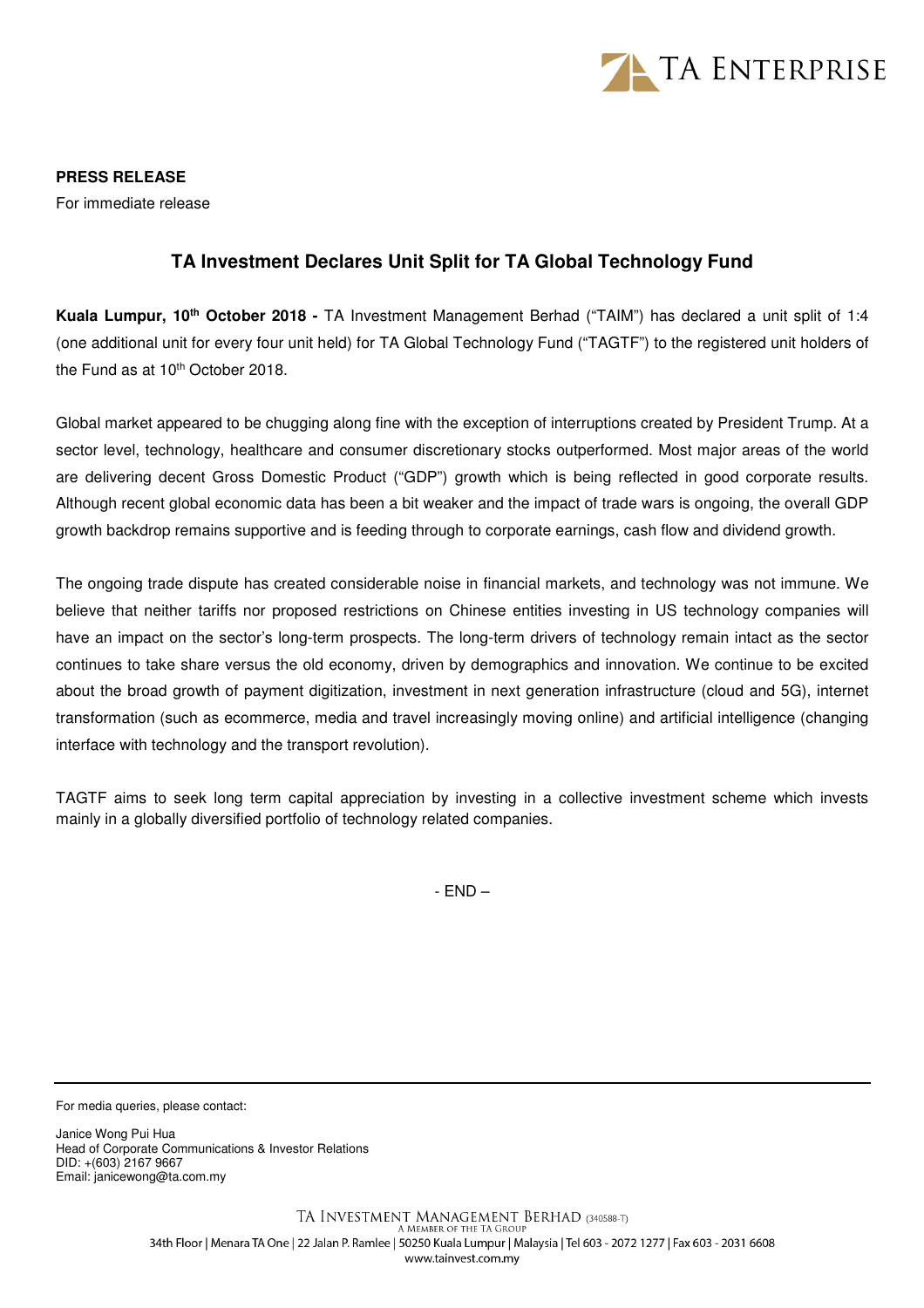

**PRESS RELEASE** 

For immediate release

## **TA Investment Declares Unit Split for TA Global Technology Fund**

**Kuala Lumpur, 10th October 2018 -** TA Investment Management Berhad ("TAIM") has declared a unit split of 1:4 (one additional unit for every four unit held) for TA Global Technology Fund ("TAGTF") to the registered unit holders of the Fund as at 10<sup>th</sup> October 2018.

Global market appeared to be chugging along fine with the exception of interruptions created by President Trump. At a sector level, technology, healthcare and consumer discretionary stocks outperformed. Most major areas of the world are delivering decent Gross Domestic Product ("GDP") growth which is being reflected in good corporate results. Although recent global economic data has been a bit weaker and the impact of trade wars is ongoing, the overall GDP growth backdrop remains supportive and is feeding through to corporate earnings, cash flow and dividend growth.

The ongoing trade dispute has created considerable noise in financial markets, and technology was not immune. We believe that neither tariffs nor proposed restrictions on Chinese entities investing in US technology companies will have an impact on the sector's long-term prospects. The long-term drivers of technology remain intact as the sector continues to take share versus the old economy, driven by demographics and innovation. We continue to be excited about the broad growth of payment digitization, investment in next generation infrastructure (cloud and 5G), internet transformation (such as ecommerce, media and travel increasingly moving online) and artificial intelligence (changing interface with technology and the transport revolution).

TAGTF aims to seek long term capital appreciation by investing in a collective investment scheme which invests mainly in a globally diversified portfolio of technology related companies.

- END –

For media queries, please contact:

Janice Wong Pui Hua Head of Corporate Communications & Investor Relations DID: +(603) 2167 9667 Email: janicewong@ta.com.my